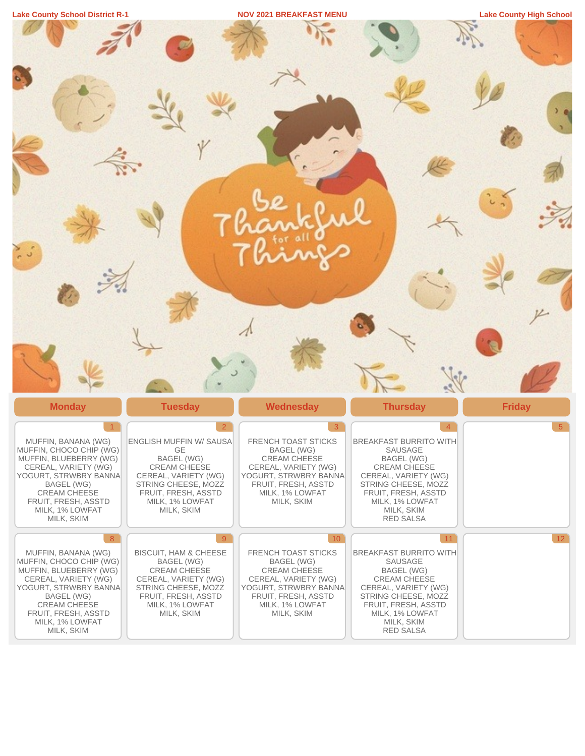| <b>Lake County School District</b> | <b>NOV 2021 BREAKFAST MENU</b> | 'High School<br>ake<br><b>COUNTY</b> |
|------------------------------------|--------------------------------|--------------------------------------|
|                                    |                                |                                      |

| $\sim$                                                                                                                                                                                                                            |                                                                                                                                                                                                       |                                                                                                                                                                                      |                                                                                                                                                                                                                        |                |
|-----------------------------------------------------------------------------------------------------------------------------------------------------------------------------------------------------------------------------------|-------------------------------------------------------------------------------------------------------------------------------------------------------------------------------------------------------|--------------------------------------------------------------------------------------------------------------------------------------------------------------------------------------|------------------------------------------------------------------------------------------------------------------------------------------------------------------------------------------------------------------------|----------------|
|                                                                                                                                                                                                                                   |                                                                                                                                                                                                       |                                                                                                                                                                                      |                                                                                                                                                                                                                        |                |
| <b>Monday</b>                                                                                                                                                                                                                     | <b>Tuesday</b>                                                                                                                                                                                        | <b>Wednesday</b>                                                                                                                                                                     | <b>Thursday</b>                                                                                                                                                                                                        | <b>Friday</b>  |
| $\vert$ 1<br>MUFFIN, BANANA (WG)<br>MUFFIN, CHOCO CHIP (WG)<br>MUFFIN, BLUEBERRY (WG)<br>CEREAL, VARIETY (WG)<br>YOGURT, STRWBRY BANNA<br>BAGEL (WG)<br>CREAM CHEESE<br>FRUIT, FRESH, ASSTD<br>MILK, 1% LOWFAT<br>MILK, SKIM      | $\overline{2}$<br>ENGLISH MUFFIN W/ SAUSA<br>GE<br>BAGEL (WG)<br><b>CREAM CHEESE</b><br>CEREAL, VARIETY (WG)<br>STRING CHEESE, MOZZ<br>FRUIT, FRESH, ASSTD<br>MILK, 1% LOWFAT<br>MILK, SKIM           | 3<br>FRENCH TOAST STICKS<br>BAGEL (WG)<br><b>CREAM CHEESE</b><br>CEREAL, VARIETY (WG)<br>YOGURT, STRWBRY BANNA<br>FRUIT, FRESH, ASSTD<br>MILK, 1% LOWFAT<br>MILK, SKIM               | $\overline{4}$<br>BREAKFAST BURRITO WITH<br>SAUSAGE<br>BAGEL (WG)<br><b>CREAM CHEESE</b><br>CEREAL, VARIETY (WG)<br>STRING CHEESE, MOZZ<br>FRUIT, FRESH, ASSTD<br>MILK, 1% LOWFAT<br>MILK, SKIM<br>RED SALSA           | 5 <sup>5</sup> |
| 8 <sup>°</sup><br>MUFFIN, BANANA (WG)<br>MUFFIN, CHOCO CHIP (WG)<br>MUFFIN, BLUEBERRY (WG)<br>CEREAL, VARIETY (WG)<br>YOGURT, STRWBRY BANNA<br>BAGEL (WG)<br>CREAM CHEESE<br>FRUIT, FRESH, ASSTD<br>MILK, 1% LOWFAT<br>MILK, SKIM | 9 <sup>°</sup><br><b>BISCUIT, HAM &amp; CHEESE</b><br><b>BAGEL (WG)</b><br><b>CREAM CHEESE</b><br>CEREAL, VARIETY (WG)<br>STRING CHEESE, MOZZ<br>FRUIT, FRESH, ASSTD<br>MILK, 1% LOWFAT<br>MILK, SKIM | 10 <sup>7</sup><br>FRENCH TOAST STICKS<br>BAGEL (WG)<br><b>CREAM CHEESE</b><br>CEREAL, VARIETY (WG)<br>YOGURT, STRWBRY BANNA<br>FRUIT, FRESH, ASSTD<br>MILK, 1% LOWFAT<br>MILK, SKIM | $\vert$ 11<br><b>BREAKFAST BURRITO WITH</b><br>SAUSAGE<br><b>BAGEL (WG)</b><br><b>CREAM CHEESE</b><br>CEREAL, VARIETY (WG)<br>STRING CHEESE, MOZZ<br>FRUIT, FRESH, ASSTD<br>MILK, 1% LOWFAT<br>MILK, SKIM<br>RED SALSA | 12             |